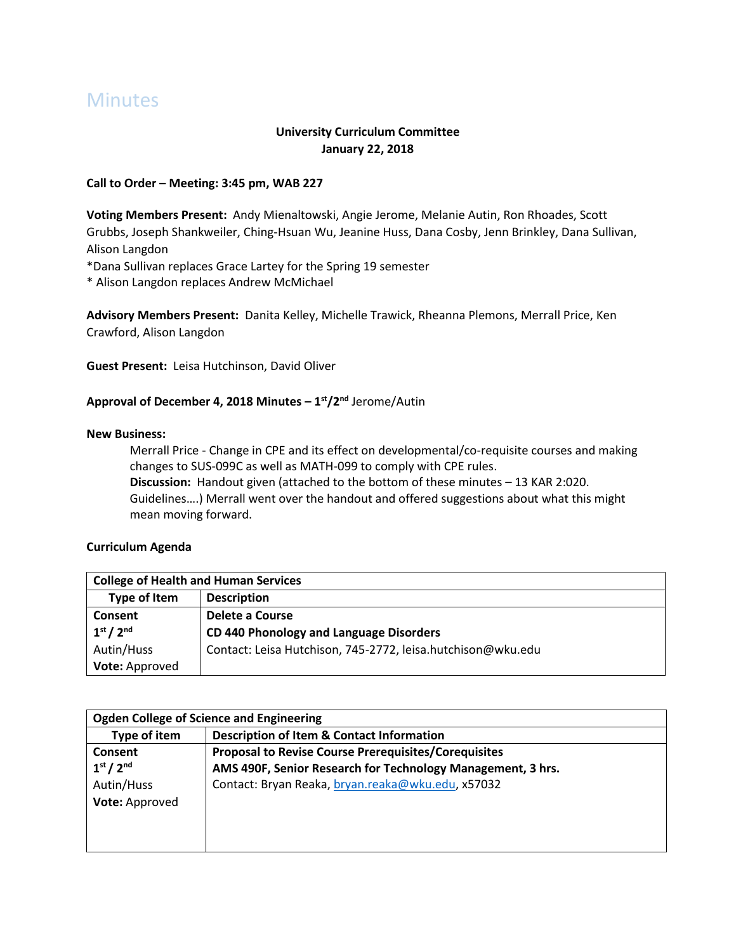# **Minutes**

# **University Curriculum Committee January 22, 2018**

## **Call to Order – Meeting: 3:45 pm, WAB 227**

**Voting Members Present:** Andy Mienaltowski, Angie Jerome, Melanie Autin, Ron Rhoades, Scott Grubbs, Joseph Shankweiler, Ching-Hsuan Wu, Jeanine Huss, Dana Cosby, Jenn Brinkley, Dana Sullivan, Alison Langdon

\*Dana Sullivan replaces Grace Lartey for the Spring 19 semester

\* Alison Langdon replaces Andrew McMichael

**Advisory Members Present:** Danita Kelley, Michelle Trawick, Rheanna Plemons, Merrall Price, Ken Crawford, Alison Langdon

**Guest Present:** Leisa Hutchinson, David Oliver

## **Approval of December 4, 2018 Minutes – 1 st/2nd** Jerome/Autin

#### **New Business:**

Merrall Price - Change in CPE and its effect on developmental/co-requisite courses and making changes to SUS-099C as well as MATH-099 to comply with CPE rules. **Discussion:** Handout given (attached to the bottom of these minutes – 13 KAR 2:020. Guidelines….) Merrall went over the handout and offered suggestions about what this might mean moving forward.

#### **Curriculum Agenda**

| <b>College of Health and Human Services</b> |                                                             |  |
|---------------------------------------------|-------------------------------------------------------------|--|
| Type of Item                                | <b>Description</b>                                          |  |
| Consent                                     | Delete a Course                                             |  |
| 1 <sup>st</sup> / 2 <sup>nd</sup>           | CD 440 Phonology and Language Disorders                     |  |
| Autin/Huss                                  | Contact: Leisa Hutchison, 745-2772, leisa.hutchison@wku.edu |  |
| Vote: Approved                              |                                                             |  |

| <b>Ogden College of Science and Engineering</b> |                                                             |  |
|-------------------------------------------------|-------------------------------------------------------------|--|
| Type of item                                    | <b>Description of Item &amp; Contact Information</b>        |  |
| Consent                                         | <b>Proposal to Revise Course Prerequisites/Corequisites</b> |  |
| 1 <sup>st</sup> / 2 <sup>nd</sup>               | AMS 490F, Senior Research for Technology Management, 3 hrs. |  |
| Autin/Huss                                      | Contact: Bryan Reaka, bryan.reaka@wku.edu, x57032           |  |
| Vote: Approved                                  |                                                             |  |
|                                                 |                                                             |  |
|                                                 |                                                             |  |
|                                                 |                                                             |  |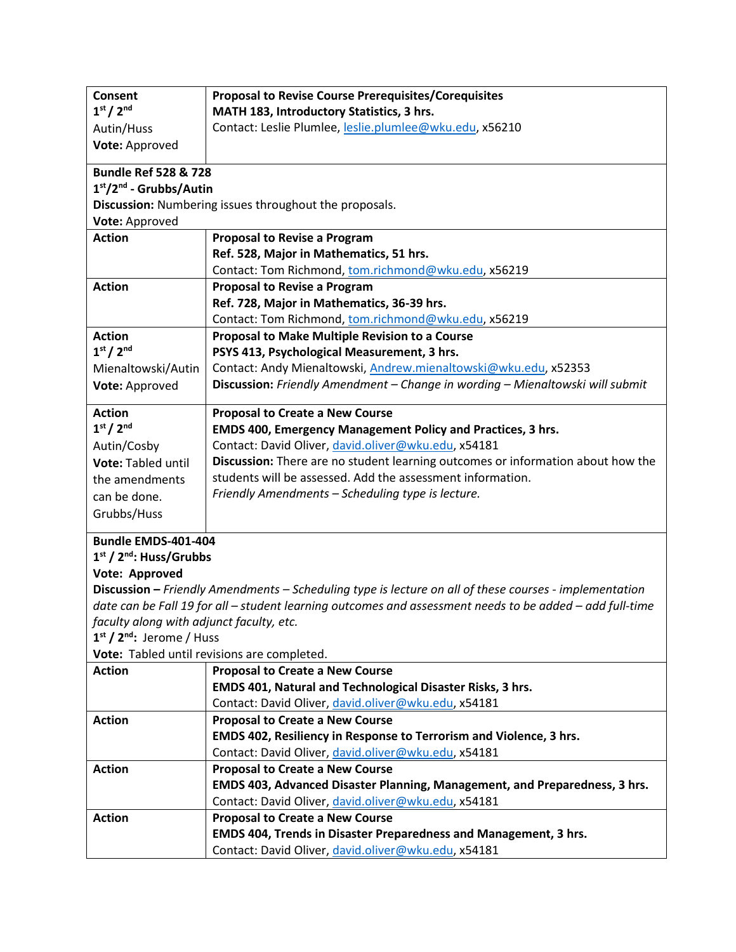| Consent                                            | <b>Proposal to Revise Course Prerequisites/Corequisites</b>                                                                            |
|----------------------------------------------------|----------------------------------------------------------------------------------------------------------------------------------------|
| 1 <sup>st</sup> / 2 <sup>nd</sup>                  | MATH 183, Introductory Statistics, 3 hrs.                                                                                              |
| Autin/Huss                                         | Contact: Leslie Plumlee, leslie.plumlee@wku.edu, x56210                                                                                |
| Vote: Approved                                     |                                                                                                                                        |
| <b>Bundle Ref 528 &amp; 728</b>                    |                                                                                                                                        |
| $1st/2nd$ - Grubbs/Autin                           |                                                                                                                                        |
|                                                    | Discussion: Numbering issues throughout the proposals.                                                                                 |
| Vote: Approved                                     |                                                                                                                                        |
| <b>Action</b>                                      | <b>Proposal to Revise a Program</b>                                                                                                    |
|                                                    | Ref. 528, Major in Mathematics, 51 hrs.                                                                                                |
|                                                    | Contact: Tom Richmond, tom.richmond@wku.edu, x56219                                                                                    |
| <b>Action</b>                                      | <b>Proposal to Revise a Program</b>                                                                                                    |
|                                                    | Ref. 728, Major in Mathematics, 36-39 hrs.                                                                                             |
|                                                    | Contact: Tom Richmond, tom.richmond@wku.edu, x56219                                                                                    |
| <b>Action</b>                                      | Proposal to Make Multiple Revision to a Course                                                                                         |
| 1 <sup>st</sup> / 2 <sup>nd</sup>                  | PSYS 413, Psychological Measurement, 3 hrs.                                                                                            |
| Mienaltowski/Autin                                 | Contact: Andy Mienaltowski, Andrew.mienaltowski@wku.edu, x52353                                                                        |
| Vote: Approved                                     | Discussion: Friendly Amendment - Change in wording - Mienaltowski will submit                                                          |
|                                                    |                                                                                                                                        |
| <b>Action</b><br>1 <sup>st</sup> / 2 <sup>nd</sup> | <b>Proposal to Create a New Course</b>                                                                                                 |
|                                                    | <b>EMDS 400, Emergency Management Policy and Practices, 3 hrs.</b>                                                                     |
| Autin/Cosby                                        | Contact: David Oliver, david.oliver@wku.edu, x54181<br>Discussion: There are no student learning outcomes or information about how the |
| Vote: Tabled until                                 | students will be assessed. Add the assessment information.                                                                             |
| the amendments                                     | Friendly Amendments - Scheduling type is lecture.                                                                                      |
| can be done.                                       |                                                                                                                                        |
| Grubbs/Huss                                        |                                                                                                                                        |
| Bundle EMDS-401-404                                |                                                                                                                                        |
| $1st$ / $2nd$ : Huss/Grubbs                        |                                                                                                                                        |
| Vote: Approved                                     |                                                                                                                                        |
|                                                    | Discussion – Friendly Amendments – Scheduling type is lecture on all of these courses - implementation                                 |
|                                                    | date can be Fall 19 for all - student learning outcomes and assessment needs to be added - add full-time                               |
| faculty along with adjunct faculty, etc.           |                                                                                                                                        |
| 1 <sup>st</sup> / 2 <sup>nd</sup> : Jerome / Huss  |                                                                                                                                        |
|                                                    | Vote: Tabled until revisions are completed.                                                                                            |
| <b>Action</b>                                      | <b>Proposal to Create a New Course</b>                                                                                                 |
|                                                    | EMDS 401, Natural and Technological Disaster Risks, 3 hrs.                                                                             |
|                                                    | Contact: David Oliver, david.oliver@wku.edu, x54181                                                                                    |
| <b>Action</b>                                      | <b>Proposal to Create a New Course</b>                                                                                                 |
|                                                    | EMDS 402, Resiliency in Response to Terrorism and Violence, 3 hrs.                                                                     |
|                                                    | Contact: David Oliver, david.oliver@wku.edu, x54181                                                                                    |
| <b>Action</b>                                      | <b>Proposal to Create a New Course</b>                                                                                                 |
|                                                    | EMDS 403, Advanced Disaster Planning, Management, and Preparedness, 3 hrs.                                                             |
|                                                    | Contact: David Oliver, david.oliver@wku.edu, x54181                                                                                    |
| <b>Action</b>                                      | <b>Proposal to Create a New Course</b>                                                                                                 |
|                                                    | EMDS 404, Trends in Disaster Preparedness and Management, 3 hrs.                                                                       |
|                                                    | Contact: David Oliver, david.oliver@wku.edu, x54181                                                                                    |
|                                                    |                                                                                                                                        |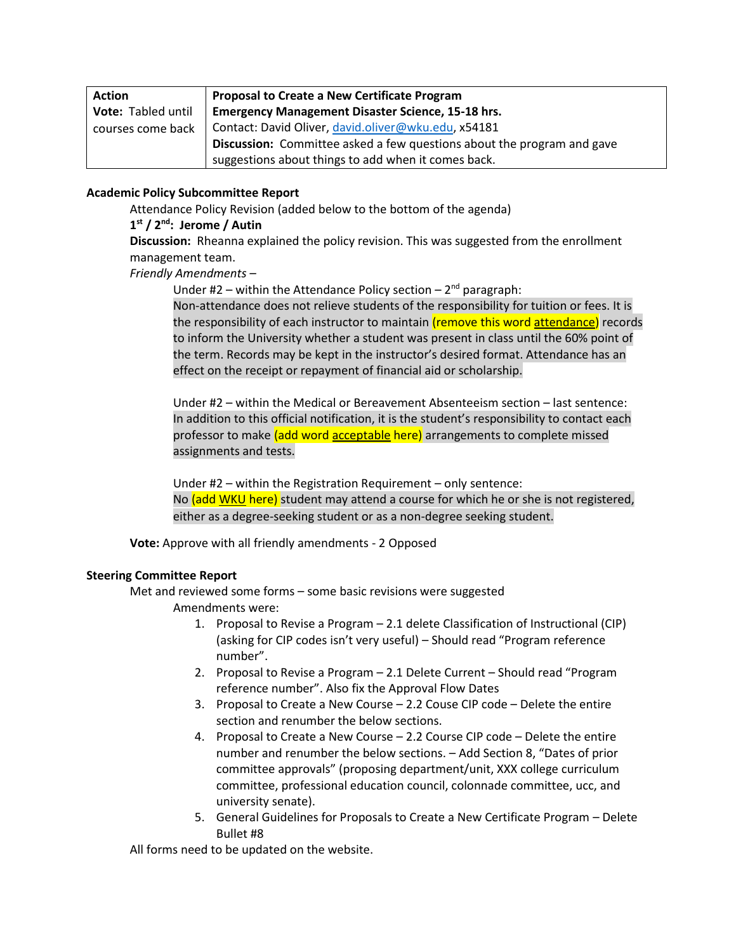| <b>Action</b>      | <b>Proposal to Create a New Certificate Program</b>                    |
|--------------------|------------------------------------------------------------------------|
| Vote: Tabled until | <b>Emergency Management Disaster Science, 15-18 hrs.</b>               |
| courses come back  | Contact: David Oliver, david.oliver@wku.edu, x54181                    |
|                    | Discussion: Committee asked a few questions about the program and gave |
|                    | suggestions about things to add when it comes back.                    |

#### **Academic Policy Subcommittee Report**

Attendance Policy Revision (added below to the bottom of the agenda)

#### **1 st / 2nd: Jerome / Autin**

**Discussion:** Rheanna explained the policy revision. This was suggested from the enrollment management team.

*Friendly Amendments –*

Under #2 - within the Attendance Policy section - 2<sup>nd</sup> paragraph:

Non-attendance does not relieve students of the responsibility for tuition or fees. It is the responsibility of each instructor to maintain (remove this word attendance) records to inform the University whether a student was present in class until the 60% point of the term. Records may be kept in the instructor's desired format. Attendance has an effect on the receipt or repayment of financial aid or scholarship.

Under #2 – within the Medical or Bereavement Absenteeism section – last sentence: In addition to this official notification, it is the student's responsibility to contact each professor to make (add word acceptable here) arrangements to complete missed assignments and tests.

Under #2 – within the Registration Requirement – only sentence: No (add WKU here) student may attend a course for which he or she is not registered, either as a degree-seeking student or as a non-degree seeking student.

**Vote:** Approve with all friendly amendments - 2 Opposed

## **Steering Committee Report**

Met and reviewed some forms – some basic revisions were suggested Amendments were:

- 1. Proposal to Revise a Program 2.1 delete Classification of Instructional (CIP) (asking for CIP codes isn't very useful) – Should read "Program reference number".
- 2. Proposal to Revise a Program 2.1 Delete Current Should read "Program reference number". Also fix the Approval Flow Dates
- 3. Proposal to Create a New Course 2.2 Couse CIP code Delete the entire section and renumber the below sections.
- 4. Proposal to Create a New Course 2.2 Course CIP code Delete the entire number and renumber the below sections. – Add Section 8, "Dates of prior committee approvals" (proposing department/unit, XXX college curriculum committee, professional education council, colonnade committee, ucc, and university senate).
- 5. General Guidelines for Proposals to Create a New Certificate Program Delete Bullet #8

All forms need to be updated on the website.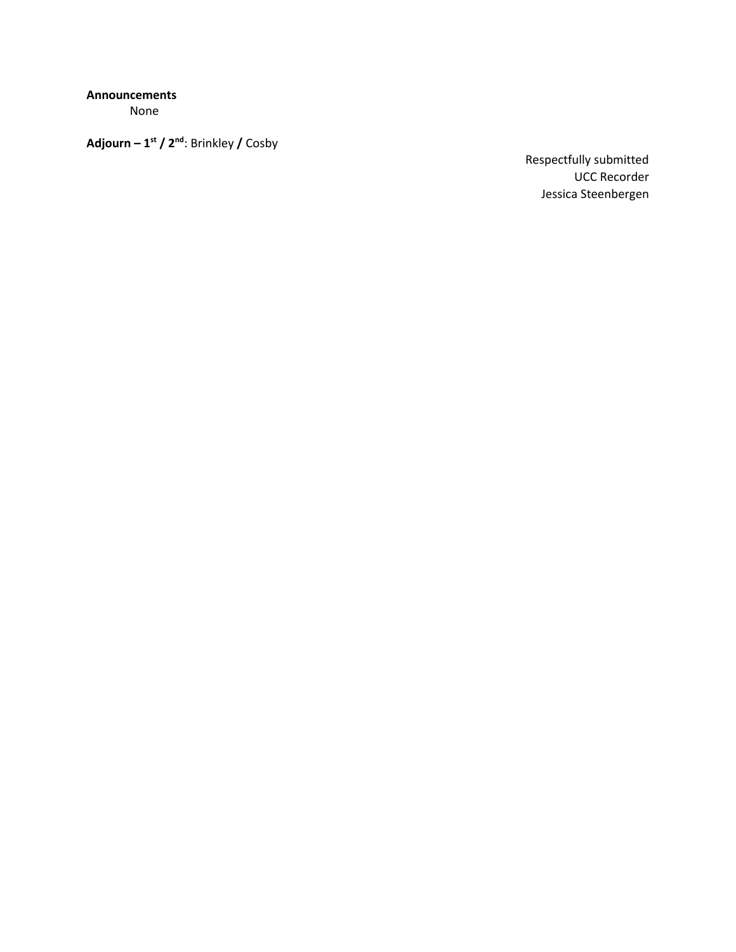**Announcements**

None

**Adjourn – 1 st / 2nd**: Brinkley **/** Cosby

Respectfully submitted UCC Recorder Jessica Steenbergen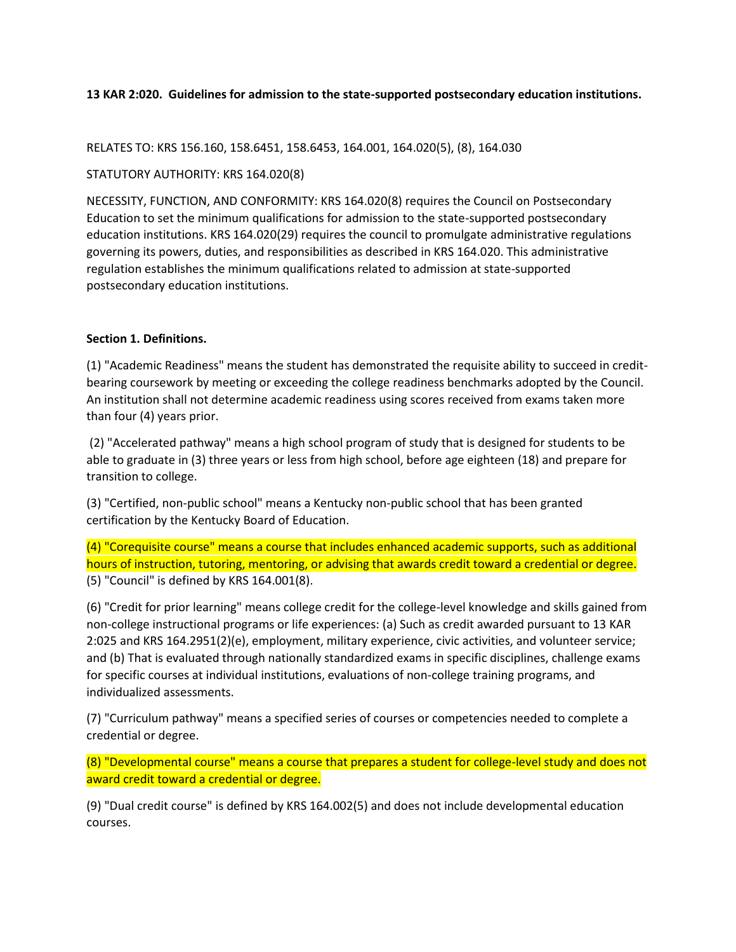## **13 KAR 2:020. Guidelines for admission to the state-supported postsecondary education institutions.**

RELATES TO: KRS 156.160, 158.6451, 158.6453, 164.001, 164.020(5), (8), 164.030

#### STATUTORY AUTHORITY: KRS 164.020(8)

NECESSITY, FUNCTION, AND CONFORMITY: KRS 164.020(8) requires the Council on Postsecondary Education to set the minimum qualifications for admission to the state-supported postsecondary education institutions. KRS 164.020(29) requires the council to promulgate administrative regulations governing its powers, duties, and responsibilities as described in KRS 164.020. This administrative regulation establishes the minimum qualifications related to admission at state-supported postsecondary education institutions.

## **Section 1. Definitions.**

(1) "Academic Readiness" means the student has demonstrated the requisite ability to succeed in creditbearing coursework by meeting or exceeding the college readiness benchmarks adopted by the Council. An institution shall not determine academic readiness using scores received from exams taken more than four (4) years prior.

(2) "Accelerated pathway" means a high school program of study that is designed for students to be able to graduate in (3) three years or less from high school, before age eighteen (18) and prepare for transition to college.

(3) "Certified, non-public school" means a Kentucky non-public school that has been granted certification by the Kentucky Board of Education.

(4) "Corequisite course" means a course that includes enhanced academic supports, such as additional hours of instruction, tutoring, mentoring, or advising that awards credit toward a credential or degree. (5) "Council" is defined by KRS 164.001(8).

(6) "Credit for prior learning" means college credit for the college-level knowledge and skills gained from non-college instructional programs or life experiences: (a) Such as credit awarded pursuant to 13 KAR 2:025 and KRS 164.2951(2)(e), employment, military experience, civic activities, and volunteer service; and (b) That is evaluated through nationally standardized exams in specific disciplines, challenge exams for specific courses at individual institutions, evaluations of non-college training programs, and individualized assessments.

(7) "Curriculum pathway" means a specified series of courses or competencies needed to complete a credential or degree.

(8) "Developmental course" means a course that prepares a student for college-level study and does not award credit toward a credential or degree.

(9) "Dual credit course" is defined by KRS 164.002(5) and does not include developmental education courses.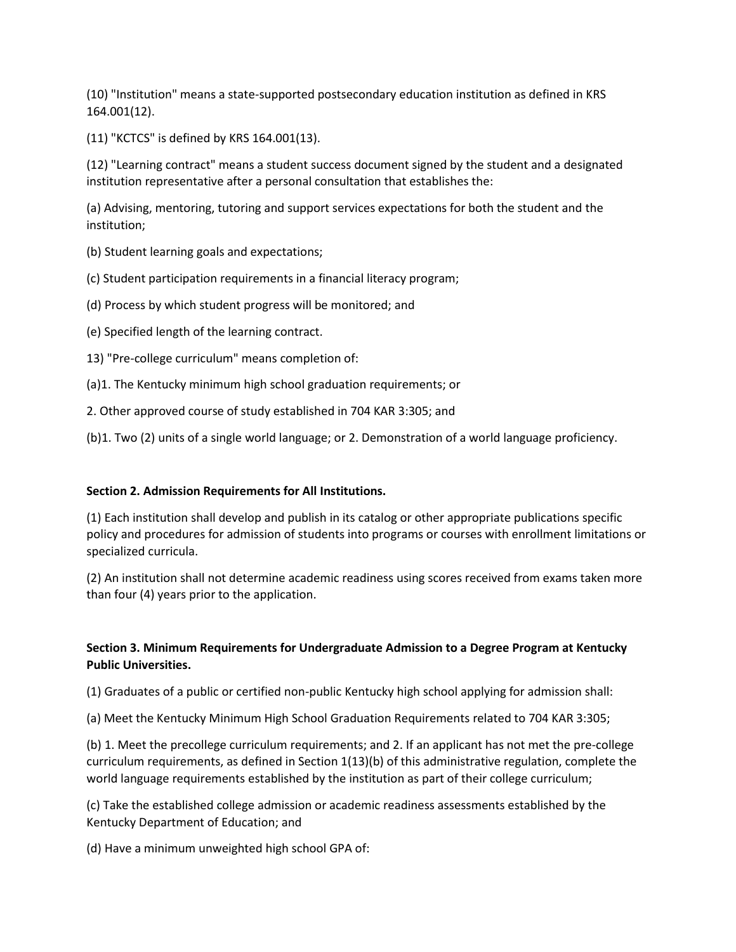(10) "Institution" means a state-supported postsecondary education institution as defined in KRS 164.001(12).

(11) "KCTCS" is defined by KRS 164.001(13).

(12) "Learning contract" means a student success document signed by the student and a designated institution representative after a personal consultation that establishes the:

(a) Advising, mentoring, tutoring and support services expectations for both the student and the institution;

(b) Student learning goals and expectations;

(c) Student participation requirements in a financial literacy program;

(d) Process by which student progress will be monitored; and

(e) Specified length of the learning contract.

13) "Pre-college curriculum" means completion of:

(a)1. The Kentucky minimum high school graduation requirements; or

2. Other approved course of study established in 704 KAR 3:305; and

(b)1. Two (2) units of a single world language; or 2. Demonstration of a world language proficiency.

## **Section 2. Admission Requirements for All Institutions.**

(1) Each institution shall develop and publish in its catalog or other appropriate publications specific policy and procedures for admission of students into programs or courses with enrollment limitations or specialized curricula.

(2) An institution shall not determine academic readiness using scores received from exams taken more than four (4) years prior to the application.

# **Section 3. Minimum Requirements for Undergraduate Admission to a Degree Program at Kentucky Public Universities.**

(1) Graduates of a public or certified non-public Kentucky high school applying for admission shall:

(a) Meet the Kentucky Minimum High School Graduation Requirements related to 704 KAR 3:305;

(b) 1. Meet the precollege curriculum requirements; and 2. If an applicant has not met the pre-college curriculum requirements, as defined in Section 1(13)(b) of this administrative regulation, complete the world language requirements established by the institution as part of their college curriculum;

(c) Take the established college admission or academic readiness assessments established by the Kentucky Department of Education; and

(d) Have a minimum unweighted high school GPA of: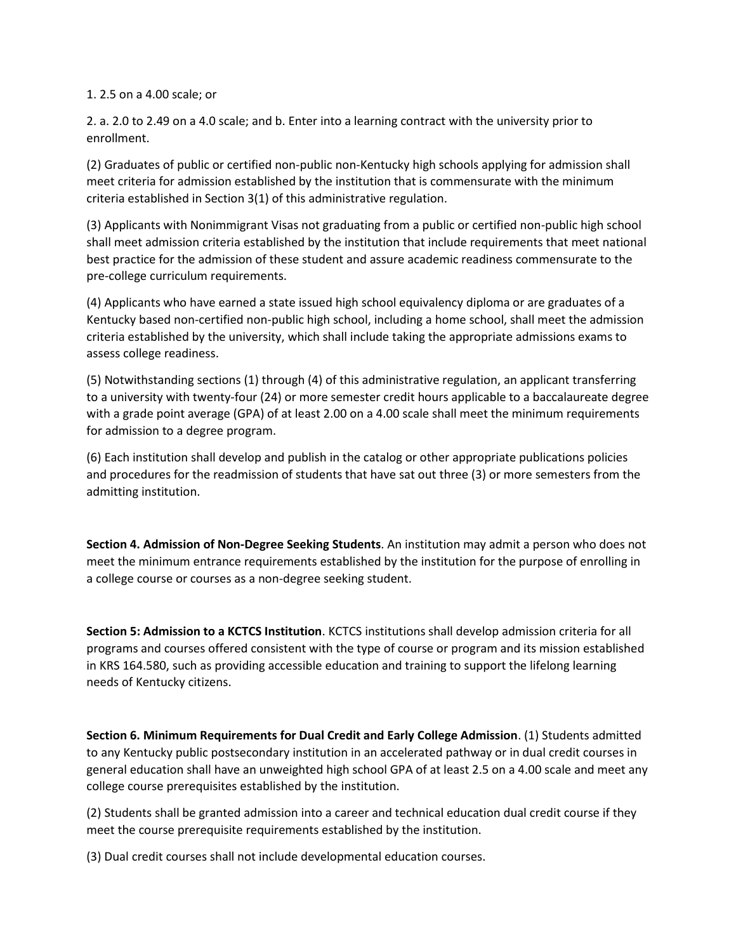#### 1. 2.5 on a 4.00 scale; or

2. a. 2.0 to 2.49 on a 4.0 scale; and b. Enter into a learning contract with the university prior to enrollment.

(2) Graduates of public or certified non-public non-Kentucky high schools applying for admission shall meet criteria for admission established by the institution that is commensurate with the minimum criteria established in Section 3(1) of this administrative regulation.

(3) Applicants with Nonimmigrant Visas not graduating from a public or certified non-public high school shall meet admission criteria established by the institution that include requirements that meet national best practice for the admission of these student and assure academic readiness commensurate to the pre-college curriculum requirements.

(4) Applicants who have earned a state issued high school equivalency diploma or are graduates of a Kentucky based non-certified non-public high school, including a home school, shall meet the admission criteria established by the university, which shall include taking the appropriate admissions exams to assess college readiness.

(5) Notwithstanding sections (1) through (4) of this administrative regulation, an applicant transferring to a university with twenty-four (24) or more semester credit hours applicable to a baccalaureate degree with a grade point average (GPA) of at least 2.00 on a 4.00 scale shall meet the minimum requirements for admission to a degree program.

(6) Each institution shall develop and publish in the catalog or other appropriate publications policies and procedures for the readmission of students that have sat out three (3) or more semesters from the admitting institution.

**Section 4. Admission of Non-Degree Seeking Students**. An institution may admit a person who does not meet the minimum entrance requirements established by the institution for the purpose of enrolling in a college course or courses as a non-degree seeking student.

**Section 5: Admission to a KCTCS Institution**. KCTCS institutions shall develop admission criteria for all programs and courses offered consistent with the type of course or program and its mission established in KRS 164.580, such as providing accessible education and training to support the lifelong learning needs of Kentucky citizens.

**Section 6. Minimum Requirements for Dual Credit and Early College Admission**. (1) Students admitted to any Kentucky public postsecondary institution in an accelerated pathway or in dual credit courses in general education shall have an unweighted high school GPA of at least 2.5 on a 4.00 scale and meet any college course prerequisites established by the institution.

(2) Students shall be granted admission into a career and technical education dual credit course if they meet the course prerequisite requirements established by the institution.

(3) Dual credit courses shall not include developmental education courses.